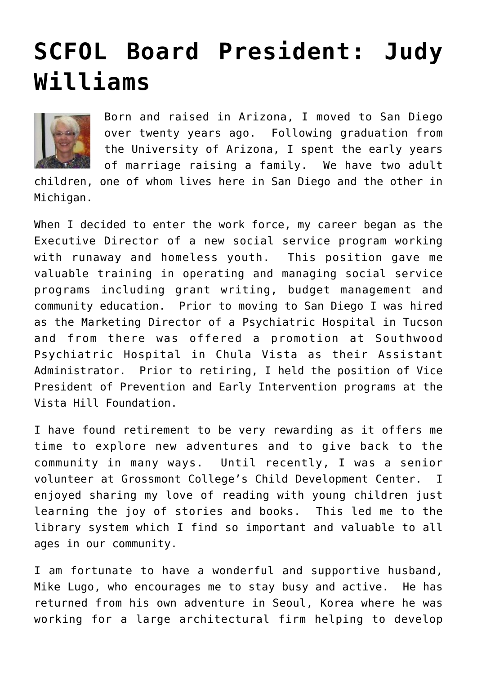## **[SCFOL Board President: Judy](https://sancarlosfriendsofthelibrary.org/2011/09/20/scfol-board-elections-for-2011-12/) [Williams](https://sancarlosfriendsofthelibrary.org/2011/09/20/scfol-board-elections-for-2011-12/)**



Born and raised in Arizona, I moved to San Diego over twenty years ago. Following graduation from the University of Arizona, I spent the early years of marriage raising a family. We have two adult

children, one of whom lives here in San Diego and the other in Michigan.

When I decided to enter the work force, my career began as the Executive Director of a new social service program working with runaway and homeless youth. This position gave me valuable training in operating and managing social service programs including grant writing, budget management and community education. Prior to moving to San Diego I was hired as the Marketing Director of a Psychiatric Hospital in Tucson and from there was offered a promotion at Southwood Psychiatric Hospital in Chula Vista as their Assistant Administrator. Prior to retiring, I held the position of Vice President of Prevention and Early Intervention programs at the Vista Hill Foundation.

I have found retirement to be very rewarding as it offers me time to explore new adventures and to give back to the community in many ways. Until recently, I was a senior volunteer at Grossmont College's Child Development Center. I enjoyed sharing my love of reading with young children just learning the joy of stories and books. This led me to the library system which I find so important and valuable to all ages in our community.

I am fortunate to have a wonderful and supportive husband, Mike Lugo, who encourages me to stay busy and active. He has returned from his own adventure in Seoul, Korea where he was working for a large architectural firm helping to develop